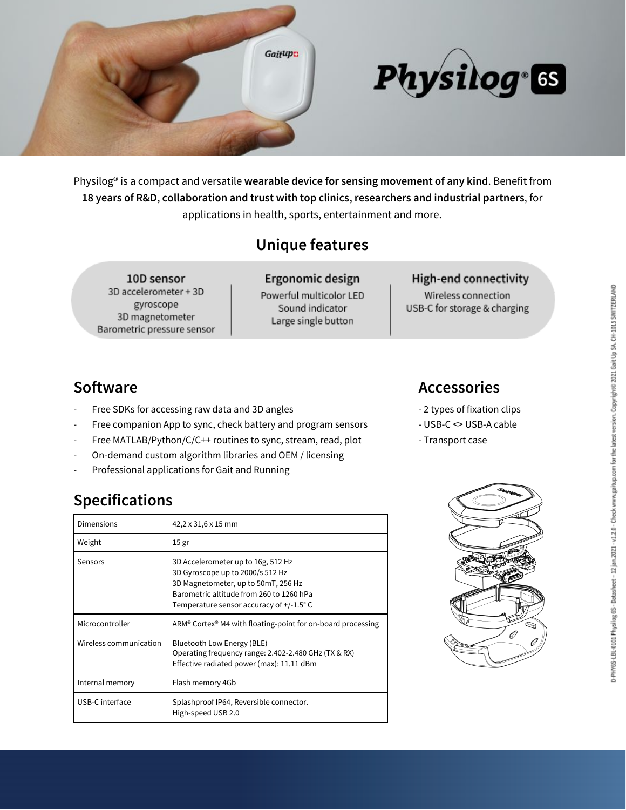

# Physilog &

Physilog® is a compact and versatile **wearable device for sensing movement of any kind**. Benefit from **18 years of R&D, collaboration and trust with top clinics, researchers and industrial partners**, for applications in health, sports, entertainment and more.

# **Unique features**

10D sensor 3D accelerometer + 3D gyroscope 3D magnetometer Barometric pressure sensor

Ergonomic design Powerful multicolor LED Sound indicator Large single button

#### **High-end connectivity**

Wireless connection USB-C for storage & charging

### **Software Accessories**

- Free SDKs for accessing raw data and 3D angles  $\sim$  2 types of fixation clips
- Free companion App to sync, check battery and program sensors USB-C <> USB-A cable
- Free MATLAB/Python/C/C++ routines to sync, stream, read, plot Transport case
- On-demand custom algorithm libraries and OEM / licensing
- Professional applications for Gait and Running

## **Specifications**

| Dimensions             | 42,2 x 31,6 x 15 mm                                                                                                                                                                                  |
|------------------------|------------------------------------------------------------------------------------------------------------------------------------------------------------------------------------------------------|
| Weight                 | 15 <sub>gr</sub>                                                                                                                                                                                     |
| Sensors                | 3D Accelerometer up to 16g, 512 Hz<br>3D Gyroscope up to 2000/s 512 Hz<br>3D Magnetometer, up to 50mT, 256 Hz<br>Barometric altitude from 260 to 1260 hPa<br>Temperature sensor accuracy of +/-1.5°C |
| Microcontroller        | ARM® Cortex® M4 with floating-point for on-board processing                                                                                                                                          |
| Wireless communication | Bluetooth Low Energy (BLE)<br>Operating frequency range: 2.402-2.480 GHz (TX & RX)<br>Effective radiated power (max): 11.11 dBm                                                                      |
| Internal memory        | Flash memory 4Gb                                                                                                                                                                                     |
| USB-C interface        | Splashproof IP64, Reversible connector.<br>High-speed USB 2.0                                                                                                                                        |